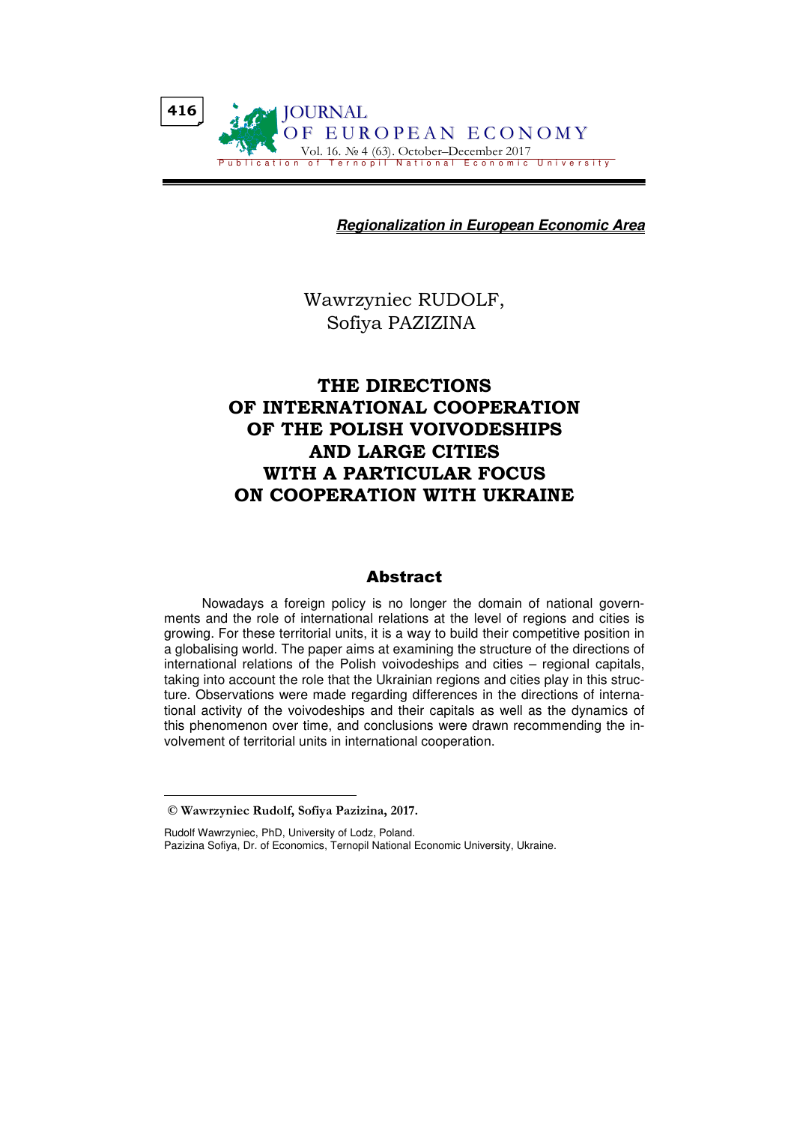**Regionalization in European Economic Area**

Wawrzyniec RUDOLF, Sofiya PAZIZINA

# THE DIRECTIONS OF INTERNATIONAL COOPERATION OF THE POLISH VOIVODESHIPS AND LARGE CITIES WITH A PARTICULAR FOCUS ON COOPERATION WITH UKRAINE

## Abstract

Nowadays a foreign policy is no longer the domain of national governments and the role of international relations at the level of regions and cities is growing. For these territorial units, it is a way to build their competitive position in a globalising world. The paper aims at examining the structure of the directions of international relations of the Polish voivodeships and cities – regional capitals, taking into account the role that the Ukrainian regions and cities play in this structure. Observations were made regarding differences in the directions of international activity of the voivodeships and their capitals as well as the dynamics of this phenomenon over time, and conclusions were drawn recommending the involvement of territorial units in international cooperation.

© Wawrzyniec Rudolf, Sofiya Pazizina, 2017.

Rudolf Wawrzyniec, PhD, University of Lodz, Poland. Pazizina Sofiya, Dr. of Economics, Ternopil National Economic University, Ukraine.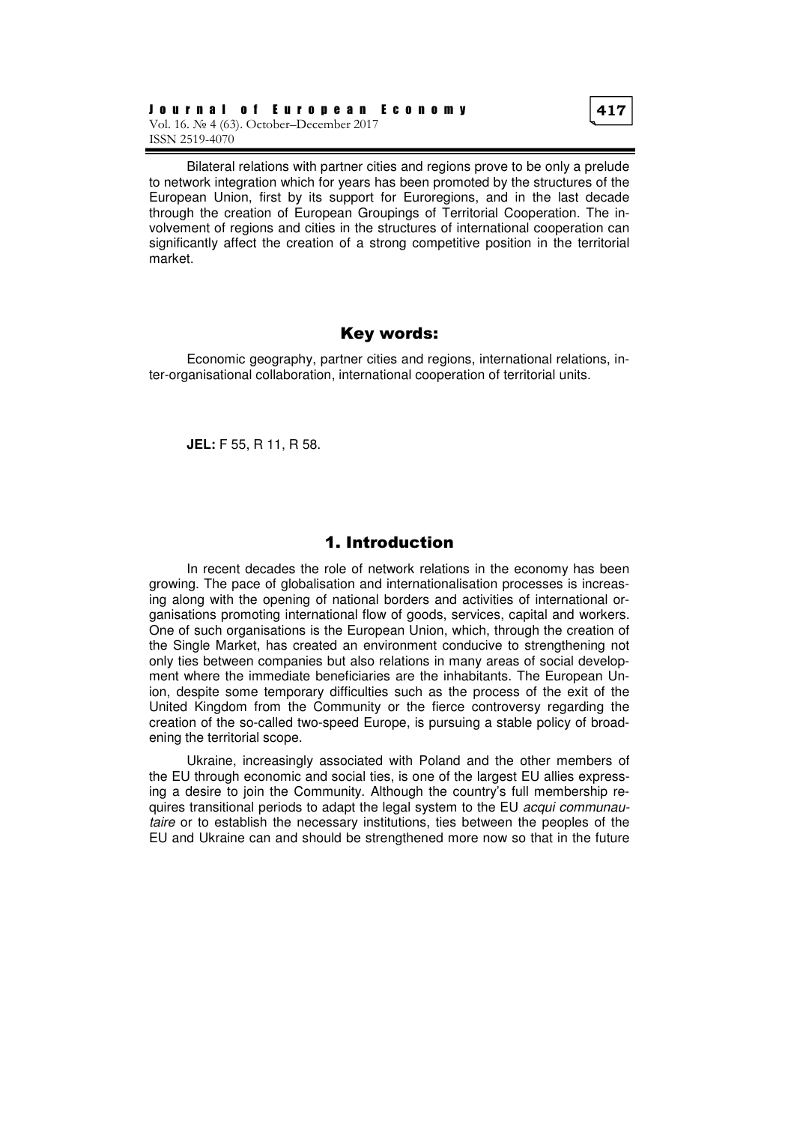Bilateral relations with partner cities and regions prove to be only a prelude to network integration which for years has been promoted by the structures of the European Union, first by its support for Euroregions, and in the last decade through the creation of European Groupings of Territorial Cooperation. The involvement of regions and cities in the structures of international cooperation can significantly affect the creation of a strong competitive position in the territorial market.

### Key words:

Economic geography, partner cities and regions, international relations, inter-organisational collaboration, international cooperation of territorial units.

**JEL:** F 55, R 11, R 58.

# 1. Introduction

In recent decades the role of network relations in the economy has been growing. The pace of globalisation and internationalisation processes is increasing along with the opening of national borders and activities of international organisations promoting international flow of goods, services, capital and workers. One of such organisations is the European Union, which, through the creation of the Single Market, has created an environment conducive to strengthening not only ties between companies but also relations in many areas of social development where the immediate beneficiaries are the inhabitants. The European Union, despite some temporary difficulties such as the process of the exit of the United Kingdom from the Community or the fierce controversy regarding the creation of the so-called two-speed Europe, is pursuing a stable policy of broadening the territorial scope.

Ukraine, increasingly associated with Poland and the other members of the EU through economic and social ties, is one of the largest EU allies expressing a desire to join the Community. Although the country's full membership requires transitional periods to adapt the legal system to the EU acqui communautaire or to establish the necessary institutions, ties between the peoples of the EU and Ukraine can and should be strengthened more now so that in the future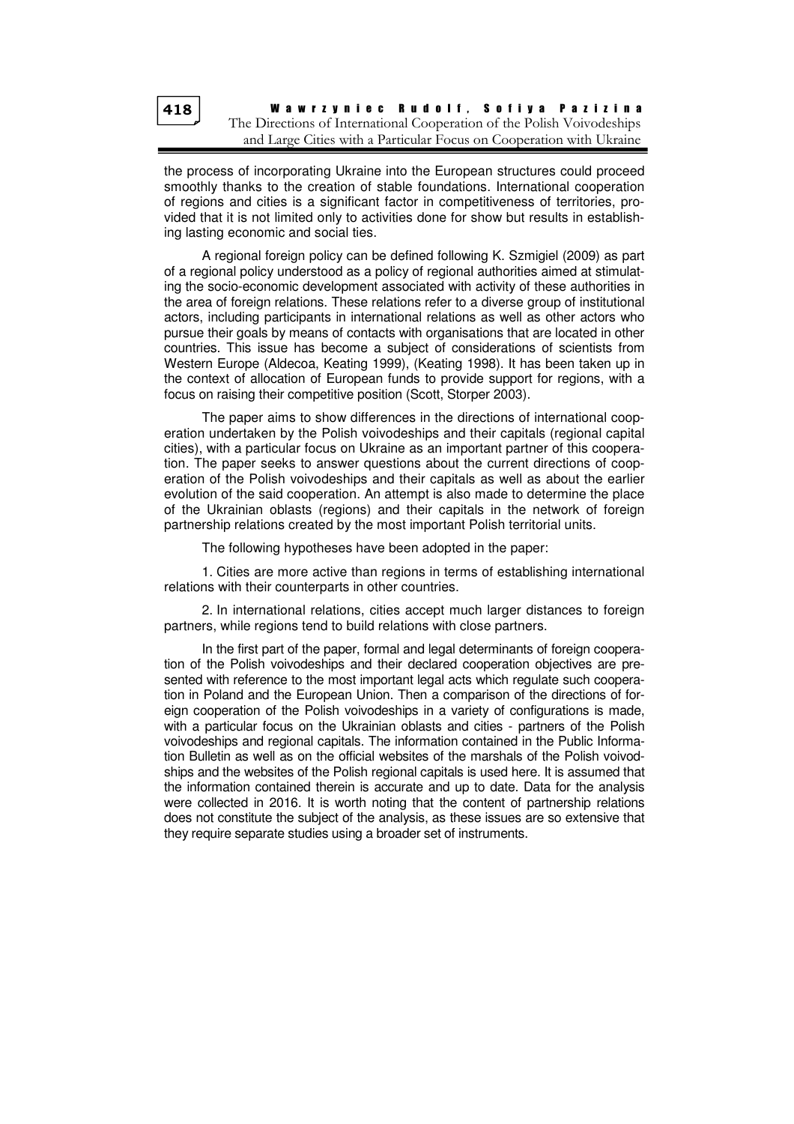the process of incorporating Ukraine into the European structures could proceed smoothly thanks to the creation of stable foundations. International cooperation of regions and cities is a significant factor in competitiveness of territories, provided that it is not limited only to activities done for show but results in establishing lasting economic and social ties.

A regional foreign policy can be defined following K. Szmigiel (2009) as part of a regional policy understood as a policy of regional authorities aimed at stimulating the socio-economic development associated with activity of these authorities in the area of foreign relations. These relations refer to a diverse group of institutional actors, including participants in international relations as well as other actors who pursue their goals by means of contacts with organisations that are located in other countries. This issue has become a subject of considerations of scientists from Western Europe (Aldecoa, Keating 1999), (Keating 1998). It has been taken up in the context of allocation of European funds to provide support for regions, with a focus on raising their competitive position (Scott, Storper 2003).

The paper aims to show differences in the directions of international cooperation undertaken by the Polish voivodeships and their capitals (regional capital cities), with a particular focus on Ukraine as an important partner of this cooperation. The paper seeks to answer questions about the current directions of cooperation of the Polish voivodeships and their capitals as well as about the earlier evolution of the said cooperation. An attempt is also made to determine the place of the Ukrainian oblasts (regions) and their capitals in the network of foreign partnership relations created by the most important Polish territorial units.

The following hypotheses have been adopted in the paper:

1. Cities are more active than regions in terms of establishing international relations with their counterparts in other countries.

2. In international relations, cities accept much larger distances to foreign partners, while regions tend to build relations with close partners.

In the first part of the paper, formal and legal determinants of foreign cooperation of the Polish voivodeships and their declared cooperation objectives are presented with reference to the most important legal acts which regulate such cooperation in Poland and the European Union. Then a comparison of the directions of foreign cooperation of the Polish voivodeships in a variety of configurations is made, with a particular focus on the Ukrainian oblasts and cities - partners of the Polish voivodeships and regional capitals. The information contained in the Public Information Bulletin as well as on the official websites of the marshals of the Polish voivodships and the websites of the Polish regional capitals is used here. It is assumed that the information contained therein is accurate and up to date. Data for the analysis were collected in 2016. It is worth noting that the content of partnership relations does not constitute the subject of the analysis, as these issues are so extensive that they require separate studies using a broader set of instruments.

418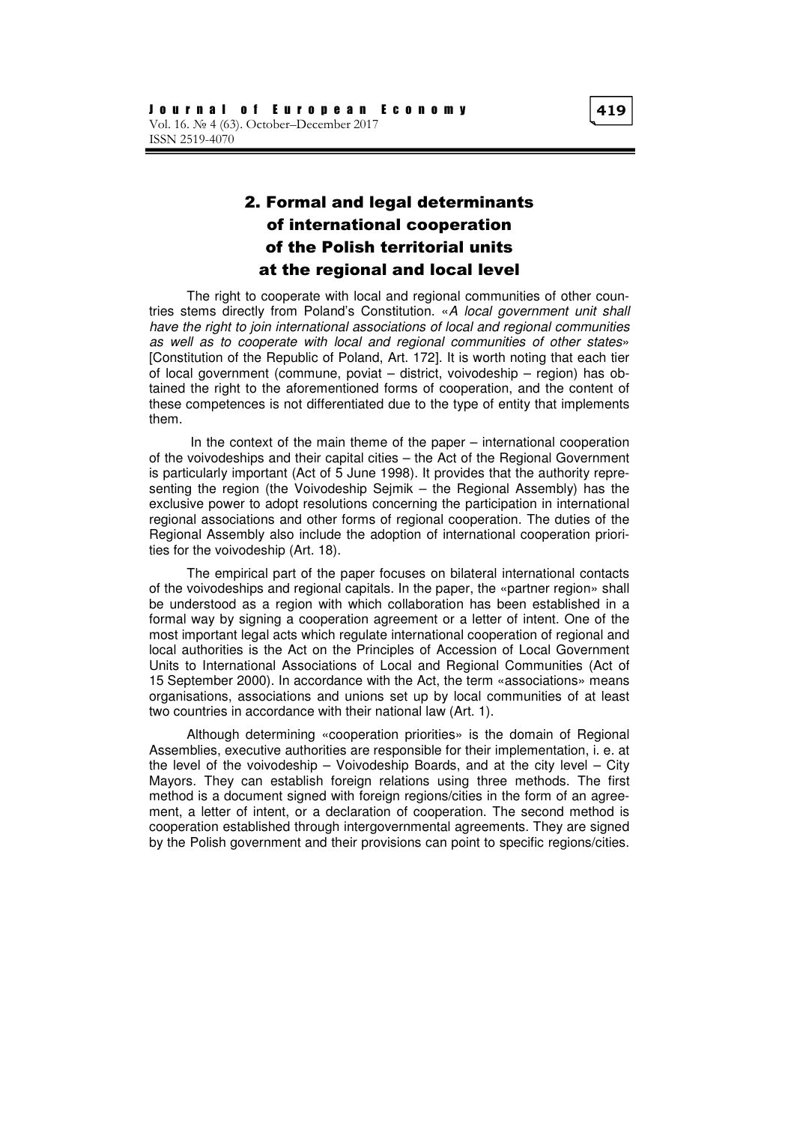# 2. Formal and legal determinants of international cooperation of the Polish territorial units at the regional and local level

The right to cooperate with local and regional communities of other countries stems directly from Poland's Constitution. «A local government unit shall have the right to join international associations of local and regional communities as well as to cooperate with local and regional communities of other states» [Constitution of the Republic of Poland, Art. 172]. It is worth noting that each tier of local government (commune, poviat – district, voivodeship – region) has obtained the right to the aforementioned forms of cooperation, and the content of these competences is not differentiated due to the type of entity that implements them.

 In the context of the main theme of the paper – international cooperation of the voivodeships and their capital cities – the Act of the Regional Government is particularly important (Act of 5 June 1998). It provides that the authority representing the region (the Voivodeship Sejmik – the Regional Assembly) has the exclusive power to adopt resolutions concerning the participation in international regional associations and other forms of regional cooperation. The duties of the Regional Assembly also include the adoption of international cooperation priorities for the voivodeship (Art. 18).

The empirical part of the paper focuses on bilateral international contacts of the voivodeships and regional capitals. In the paper, the «partner region» shall be understood as a region with which collaboration has been established in a formal way by signing a cooperation agreement or a letter of intent. One of the most important legal acts which regulate international cooperation of regional and local authorities is the Act on the Principles of Accession of Local Government Units to International Associations of Local and Regional Communities (Act of 15 September 2000). In accordance with the Act, the term «associations» means organisations, associations and unions set up by local communities of at least two countries in accordance with their national law (Art. 1).

Although determining «cooperation priorities» is the domain of Regional Assemblies, executive authorities are responsible for their implementation, i. e. at the level of the voivodeship – Voivodeship Boards, and at the city level – City Mayors. They can establish foreign relations using three methods. The first method is a document signed with foreign regions/cities in the form of an agreement, a letter of intent, or a declaration of cooperation. The second method is cooperation established through intergovernmental agreements. They are signed by the Polish government and their provisions can point to specific regions/cities.

419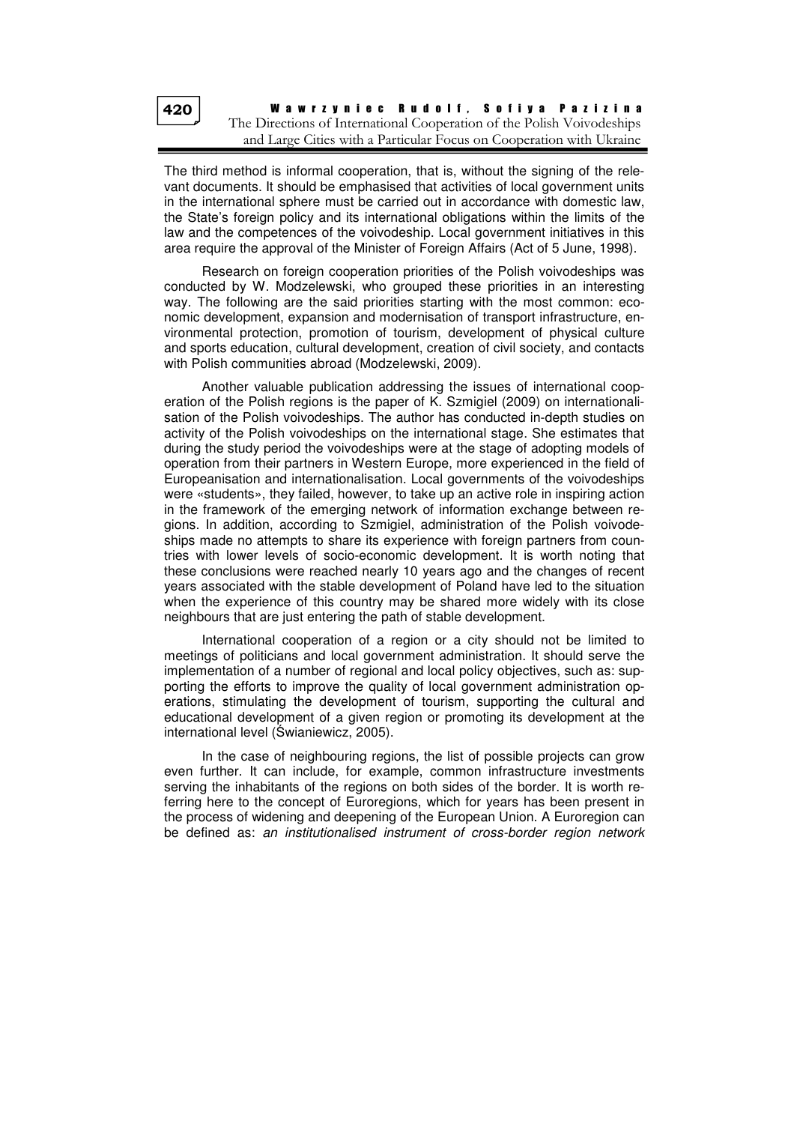The third method is informal cooperation, that is, without the signing of the relevant documents. It should be emphasised that activities of local government units in the international sphere must be carried out in accordance with domestic law, the State's foreign policy and its international obligations within the limits of the law and the competences of the voivodeship. Local government initiatives in this area require the approval of the Minister of Foreign Affairs (Act of 5 June, 1998).

Research on foreign cooperation priorities of the Polish voivodeships was conducted by W. Modzelewski, who grouped these priorities in an interesting way. The following are the said priorities starting with the most common: economic development, expansion and modernisation of transport infrastructure, environmental protection, promotion of tourism, development of physical culture and sports education, cultural development, creation of civil society, and contacts with Polish communities abroad (Modzelewski, 2009).

Another valuable publication addressing the issues of international cooperation of the Polish regions is the paper of K. Szmigiel (2009) on internationalisation of the Polish voivodeships. The author has conducted in-depth studies on activity of the Polish voivodeships on the international stage. She estimates that during the study period the voivodeships were at the stage of adopting models of operation from their partners in Western Europe, more experienced in the field of Europeanisation and internationalisation. Local governments of the voivodeships were «students», they failed, however, to take up an active role in inspiring action in the framework of the emerging network of information exchange between regions. In addition, according to Szmigiel, administration of the Polish voivodeships made no attempts to share its experience with foreign partners from countries with lower levels of socio-economic development. It is worth noting that these conclusions were reached nearly 10 years ago and the changes of recent years associated with the stable development of Poland have led to the situation when the experience of this country may be shared more widely with its close neighbours that are just entering the path of stable development.

International cooperation of a region or a city should not be limited to meetings of politicians and local government administration. It should serve the implementation of a number of regional and local policy objectives, such as: supporting the efforts to improve the quality of local government administration operations, stimulating the development of tourism, supporting the cultural and educational development of a given region or promoting its development at the international level (Świaniewicz, 2005).

In the case of neighbouring regions, the list of possible projects can grow even further. It can include, for example, common infrastructure investments serving the inhabitants of the regions on both sides of the border. It is worth referring here to the concept of Euroregions, which for years has been present in the process of widening and deepening of the European Union. A Euroregion can be defined as: an institutionalised instrument of cross-border region network

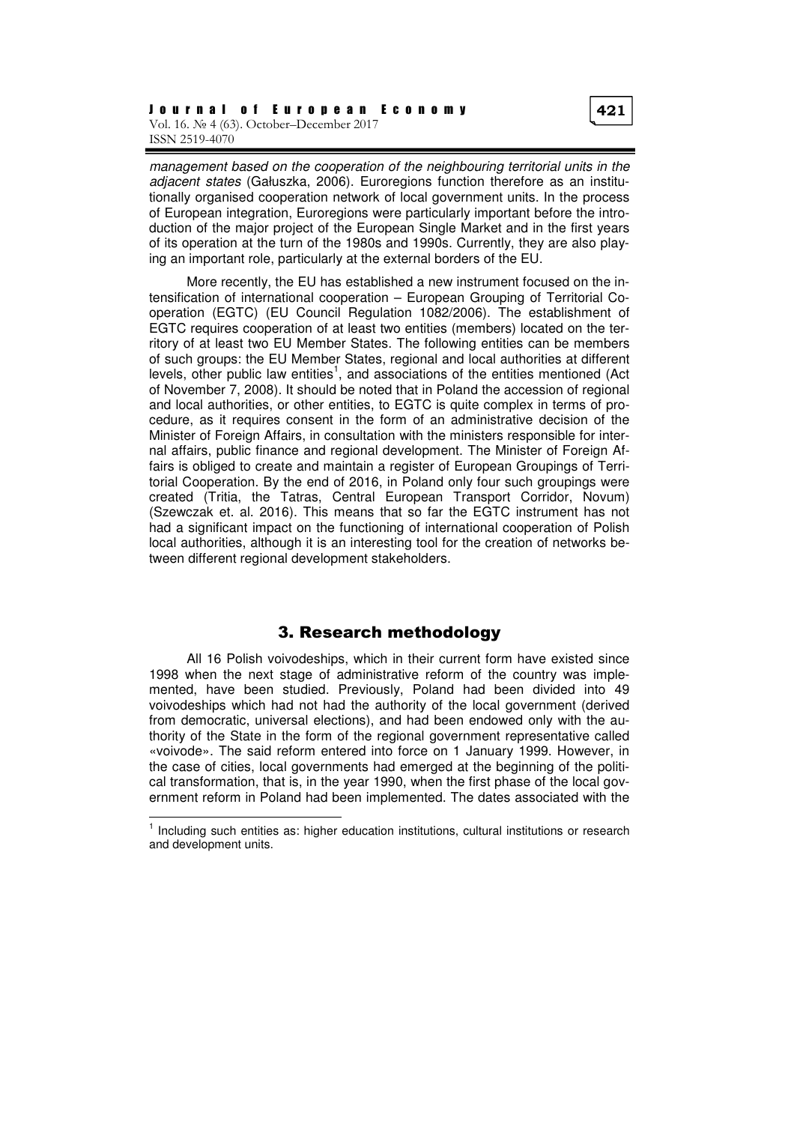management based on the cooperation of the neighbouring territorial units in the adjacent states (Gałuszka, 2006). Euroregions function therefore as an institutionally organised cooperation network of local government units. In the process of European integration, Euroregions were particularly important before the introduction of the major project of the European Single Market and in the first years of its operation at the turn of the 1980s and 1990s. Currently, they are also playing an important role, particularly at the external borders of the EU.

More recently, the EU has established a new instrument focused on the intensification of international cooperation – European Grouping of Territorial Cooperation (EGTC) (EU Council Regulation 1082/2006). The establishment of EGTC requires cooperation of at least two entities (members) located on the territory of at least two EU Member States. The following entities can be members of such groups: the EU Member States, regional and local authorities at different levels, other public law entities<sup>1</sup>, and associations of the entities mentioned (Act of November 7, 2008). It should be noted that in Poland the accession of regional and local authorities, or other entities, to EGTC is quite complex in terms of procedure, as it requires consent in the form of an administrative decision of the Minister of Foreign Affairs, in consultation with the ministers responsible for internal affairs, public finance and regional development. The Minister of Foreign Affairs is obliged to create and maintain a register of European Groupings of Territorial Cooperation. By the end of 2016, in Poland only four such groupings were created (Tritia, the Tatras, Central European Transport Corridor, Novum) (Szewczak et. al. 2016). This means that so far the EGTC instrument has not had a significant impact on the functioning of international cooperation of Polish local authorities, although it is an interesting tool for the creation of networks between different regional development stakeholders.

### 3. Research methodology

All 16 Polish voivodeships, which in their current form have existed since 1998 when the next stage of administrative reform of the country was implemented, have been studied. Previously, Poland had been divided into 49 voivodeships which had not had the authority of the local government (derived from democratic, universal elections), and had been endowed only with the authority of the State in the form of the regional government representative called «voivode». The said reform entered into force on 1 January 1999. However, in the case of cities, local governments had emerged at the beginning of the political transformation, that is, in the year 1990, when the first phase of the local government reform in Poland had been implemented. The dates associated with the

<sup>1</sup> Including such entities as: higher education institutions, cultural institutions or research and development units.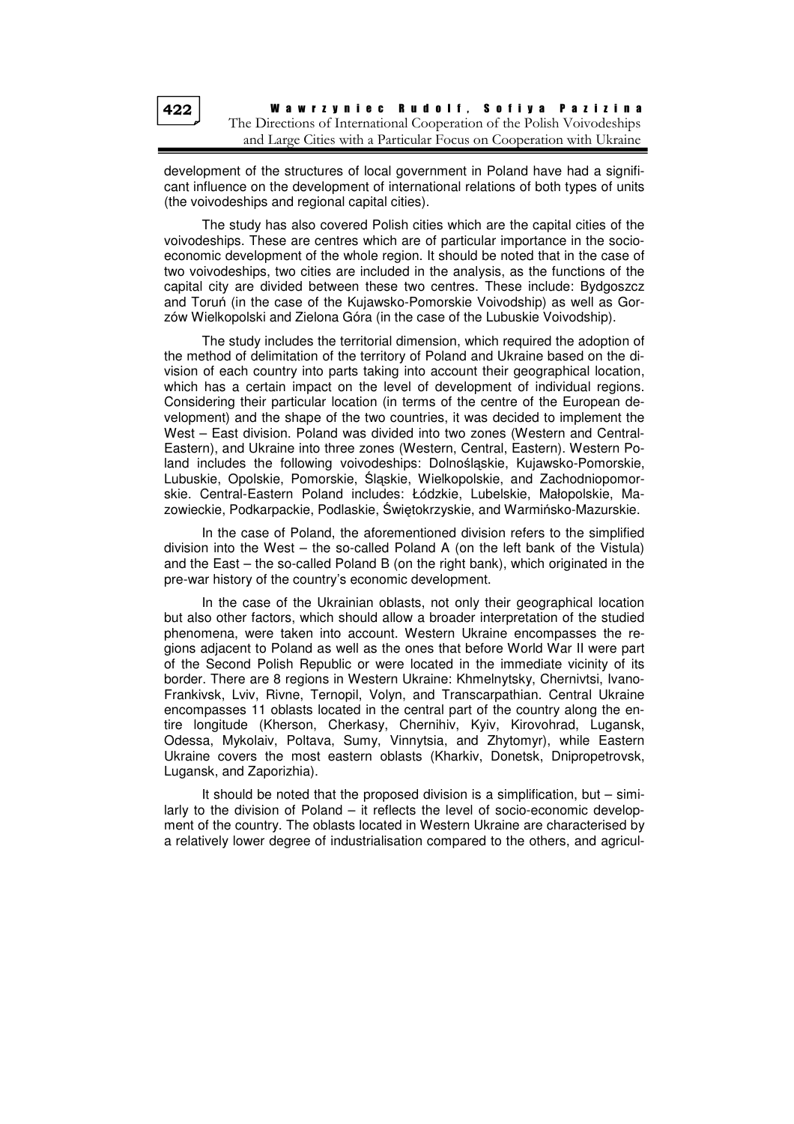development of the structures of local government in Poland have had a significant influence on the development of international relations of both types of units (the voivodeships and regional capital cities).

The study has also covered Polish cities which are the capital cities of the voivodeships. These are centres which are of particular importance in the socioeconomic development of the whole region. It should be noted that in the case of two voivodeships, two cities are included in the analysis, as the functions of the capital city are divided between these two centres. These include: Bydgoszcz and Toruń (in the case of the Kujawsko-Pomorskie Voivodship) as well as Gorzów Wielkopolski and Zielona Góra (in the case of the Lubuskie Voivodship).

The study includes the territorial dimension, which required the adoption of the method of delimitation of the territory of Poland and Ukraine based on the division of each country into parts taking into account their geographical location, which has a certain impact on the level of development of individual regions. Considering their particular location (in terms of the centre of the European development) and the shape of the two countries, it was decided to implement the West – East division. Poland was divided into two zones (Western and Central-Eastern), and Ukraine into three zones (Western, Central, Eastern). Western Poland includes the following voivodeships: Dolnośląskie, Kujawsko-Pomorskie, Lubuskie, Opolskie, Pomorskie, Śląskie, Wielkopolskie, and Zachodniopomorskie. Central-Eastern Poland includes: Łódzkie, Lubelskie, Małopolskie, Mazowieckie, Podkarpackie, Podlaskie, Świętokrzyskie, and Warmińsko-Mazurskie.

In the case of Poland, the aforementioned division refers to the simplified division into the West – the so-called Poland A (on the left bank of the Vistula) and the East – the so-called Poland B (on the right bank), which originated in the pre-war history of the country's economic development.

In the case of the Ukrainian oblasts, not only their geographical location but also other factors, which should allow a broader interpretation of the studied phenomena, were taken into account. Western Ukraine encompasses the regions adjacent to Poland as well as the ones that before World War II were part of the Second Polish Republic or were located in the immediate vicinity of its border. There are 8 regions in Western Ukraine: Khmelnytsky, Chernivtsi, Ivano-Frankivsk, Lviv, Rivne, Ternopil, Volyn, and Transcarpathian. Central Ukraine encompasses 11 oblasts located in the central part of the country along the entire longitude (Kherson, Cherkasy, Chernihiv, Kyiv, Kirovohrad, Lugansk, Odessa, Mykolaiv, Poltava, Sumy, Vinnytsia, and Zhytomyr), while Eastern Ukraine covers the most eastern oblasts (Kharkiv, Donetsk, Dnipropetrovsk, Lugansk, and Zaporizhia).

It should be noted that the proposed division is a simplification, but – similarly to the division of Poland – it reflects the level of socio-economic development of the country. The oblasts located in Western Ukraine are characterised by a relatively lower degree of industrialisation compared to the others, and agricul-

422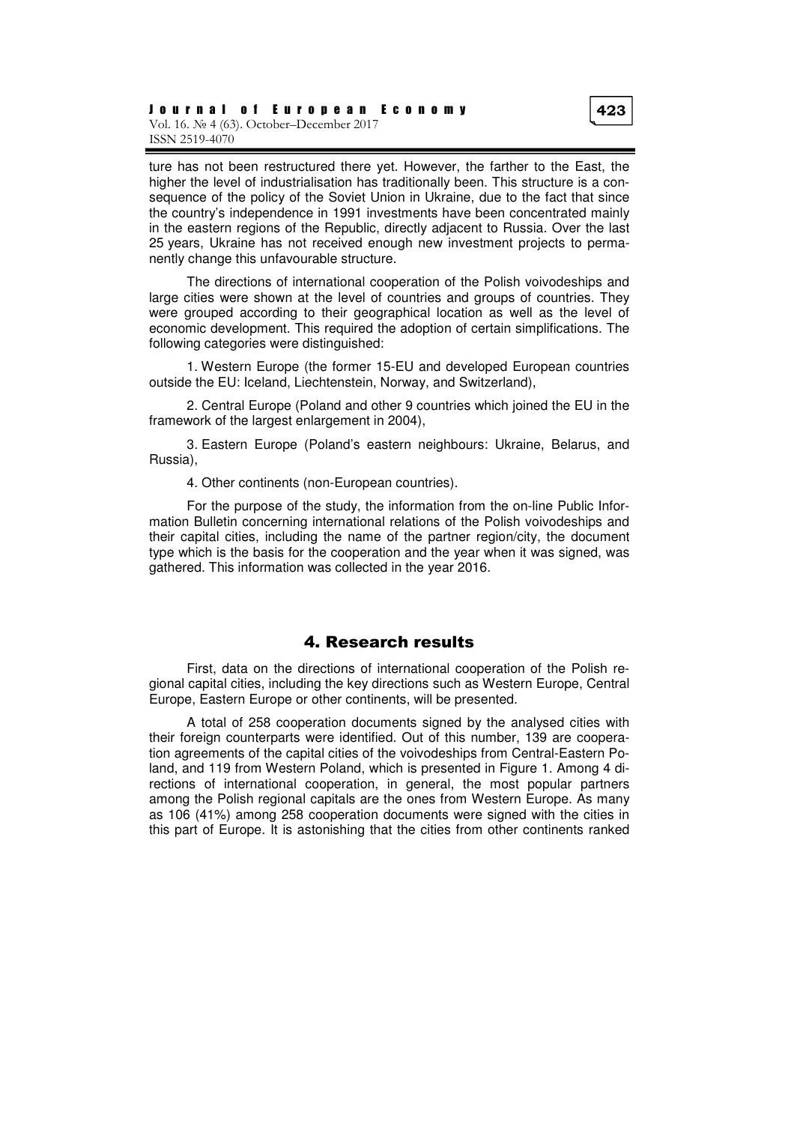ture has not been restructured there yet. However, the farther to the East, the higher the level of industrialisation has traditionally been. This structure is a consequence of the policy of the Soviet Union in Ukraine, due to the fact that since the country's independence in 1991 investments have been concentrated mainly in the eastern regions of the Republic, directly adjacent to Russia. Over the last 25 years, Ukraine has not received enough new investment projects to permanently change this unfavourable structure.

The directions of international cooperation of the Polish voivodeships and large cities were shown at the level of countries and groups of countries. They were grouped according to their geographical location as well as the level of economic development. This required the adoption of certain simplifications. The following categories were distinguished:

1. Western Europe (the former 15-EU and developed European countries outside the EU: Iceland, Liechtenstein, Norway, and Switzerland),

2. Central Europe (Poland and other 9 countries which joined the EU in the framework of the largest enlargement in 2004),

3. Eastern Europe (Poland's eastern neighbours: Ukraine, Belarus, and Russia),

4. Other continents (non-European countries).

For the purpose of the study, the information from the on-line Public Information Bulletin concerning international relations of the Polish voivodeships and their capital cities, including the name of the partner region/city, the document type which is the basis for the cooperation and the year when it was signed, was gathered. This information was collected in the year 2016.

## 4. Research results

First, data on the directions of international cooperation of the Polish regional capital cities, including the key directions such as Western Europe, Central Europe, Eastern Europe or other continents, will be presented.

A total of 258 cooperation documents signed by the analysed cities with their foreign counterparts were identified. Out of this number, 139 are cooperation agreements of the capital cities of the voivodeships from Central-Eastern Poland, and 119 from Western Poland, which is presented in Figure 1. Among 4 directions of international cooperation, in general, the most popular partners among the Polish regional capitals are the ones from Western Europe. As many as 106 (41%) among 258 cooperation documents were signed with the cities in this part of Europe. It is astonishing that the cities from other continents ranked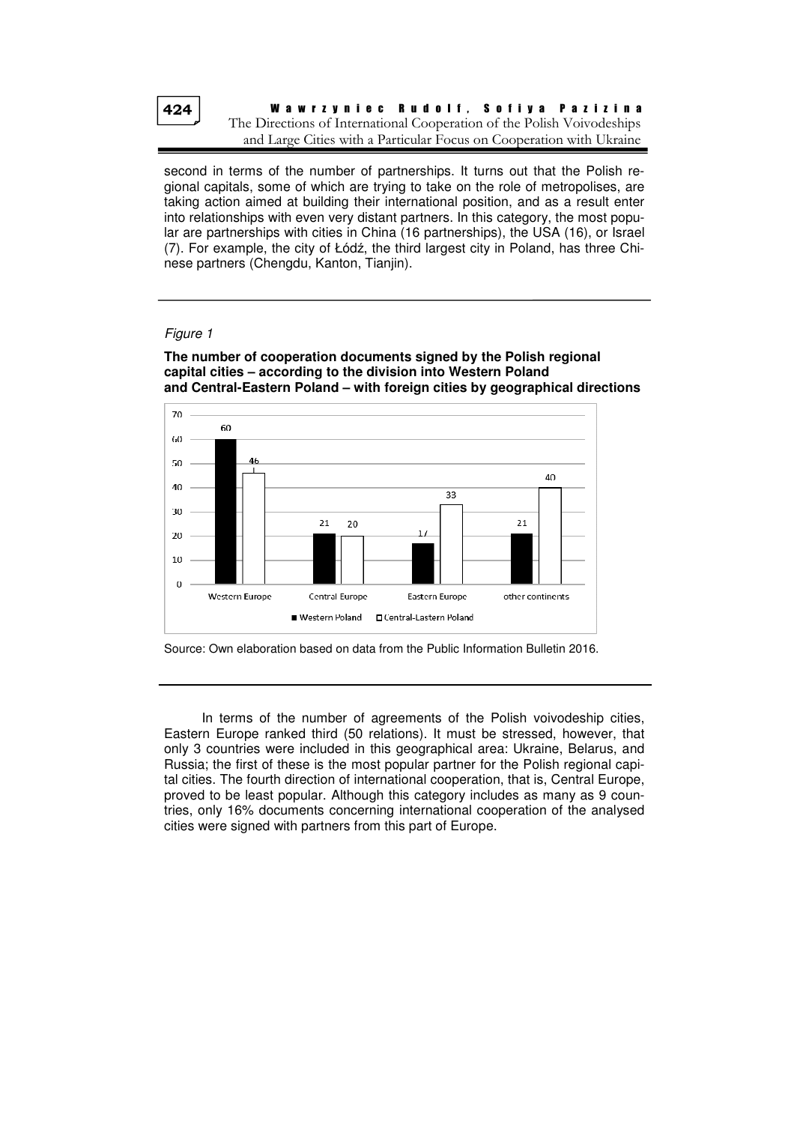424

W a w r z y n i e c R u d o l f , S o f i y a P a z i z i n a The Directions of International Cooperation of the Polish Voivodeships and Large Cities with a Particular Focus on Cooperation with Ukraine

second in terms of the number of partnerships. It turns out that the Polish regional capitals, some of which are trying to take on the role of metropolises, are taking action aimed at building their international position, and as a result enter into relationships with even very distant partners. In this category, the most popular are partnerships with cities in China (16 partnerships), the USA (16), or Israel (7). For example, the city of Łódź, the third largest city in Poland, has three Chinese partners (Chengdu, Kanton, Tianjin).

#### Figure 1



**The number of cooperation documents signed by the Polish regional capital cities – according to the division into Western Poland and Central-Eastern Poland – with foreign cities by geographical directions** 

In terms of the number of agreements of the Polish voivodeship cities, Eastern Europe ranked third (50 relations). It must be stressed, however, that only 3 countries were included in this geographical area: Ukraine, Belarus, and Russia; the first of these is the most popular partner for the Polish regional capital cities. The fourth direction of international cooperation, that is, Central Europe, proved to be least popular. Although this category includes as many as 9 countries, only 16% documents concerning international cooperation of the analysed cities were signed with partners from this part of Europe.

Source: Own elaboration based on data from the Public Information Bulletin 2016.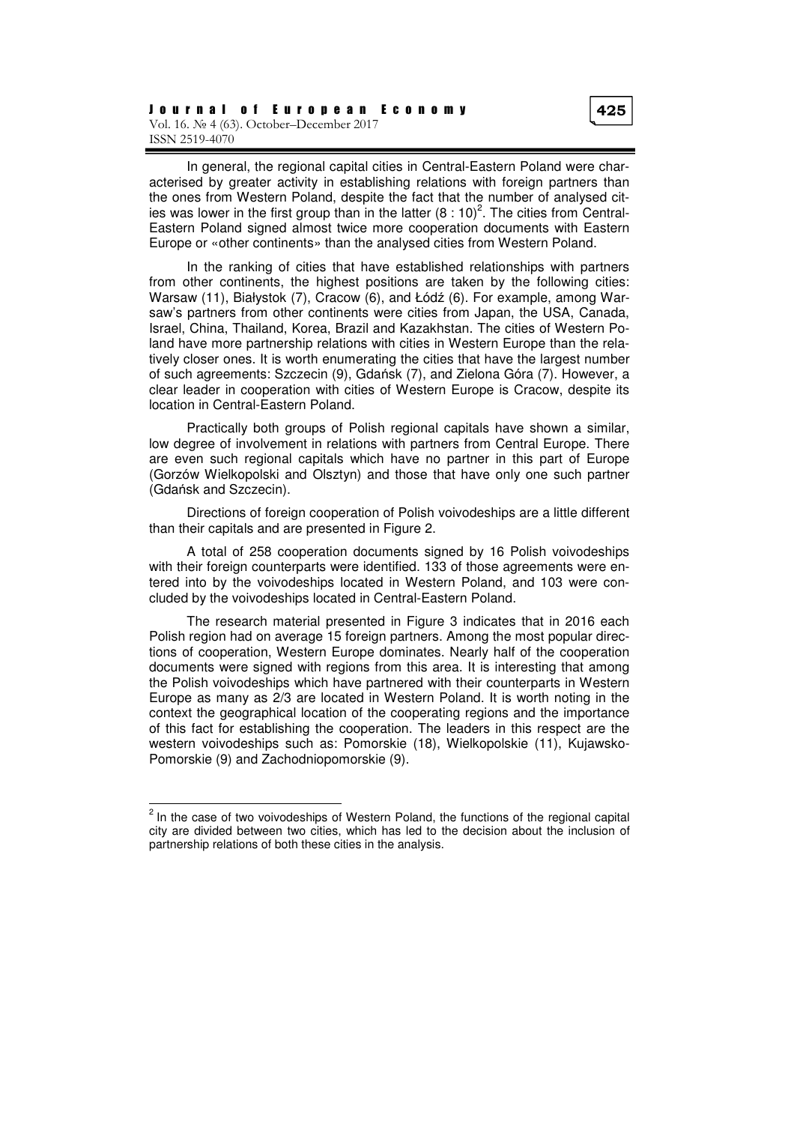In general, the regional capital cities in Central-Eastern Poland were characterised by greater activity in establishing relations with foreign partners than the ones from Western Poland, despite the fact that the number of analysed cities was lower in the first group than in the latter  $(8:10)^2$ . The cities from Central-Eastern Poland signed almost twice more cooperation documents with Eastern Europe or «other continents» than the analysed cities from Western Poland.

In the ranking of cities that have established relationships with partners from other continents, the highest positions are taken by the following cities: Warsaw (11), Białystok (7), Cracow (6), and Łódź (6). For example, among Warsaw's partners from other continents were cities from Japan, the USA, Canada, Israel, China, Thailand, Korea, Brazil and Kazakhstan. The cities of Western Poland have more partnership relations with cities in Western Europe than the relatively closer ones. It is worth enumerating the cities that have the largest number of such agreements: Szczecin (9), Gdańsk (7), and Zielona Góra (7). However, a clear leader in cooperation with cities of Western Europe is Cracow, despite its location in Central-Eastern Poland.

Practically both groups of Polish regional capitals have shown a similar, low degree of involvement in relations with partners from Central Europe. There are even such regional capitals which have no partner in this part of Europe (Gorzów Wielkopolski and Olsztyn) and those that have only one such partner (Gdańsk and Szczecin).

Directions of foreign cooperation of Polish voivodeships are a little different than their capitals and are presented in Figure 2.

A total of 258 cooperation documents signed by 16 Polish voivodeships with their foreign counterparts were identified. 133 of those agreements were entered into by the voivodeships located in Western Poland, and 103 were concluded by the voivodeships located in Central-Eastern Poland.

The research material presented in Figure 3 indicates that in 2016 each Polish region had on average 15 foreign partners. Among the most popular directions of cooperation, Western Europe dominates. Nearly half of the cooperation documents were signed with regions from this area. It is interesting that among the Polish voivodeships which have partnered with their counterparts in Western Europe as many as 2/3 are located in Western Poland. It is worth noting in the context the geographical location of the cooperating regions and the importance of this fact for establishing the cooperation. The leaders in this respect are the western voivodeships such as: Pomorskie (18), Wielkopolskie (11), Kujawsko-Pomorskie (9) and Zachodniopomorskie (9).

 $2$  In the case of two voivodeships of Western Poland, the functions of the regional capital city are divided between two cities, which has led to the decision about the inclusion of partnership relations of both these cities in the analysis.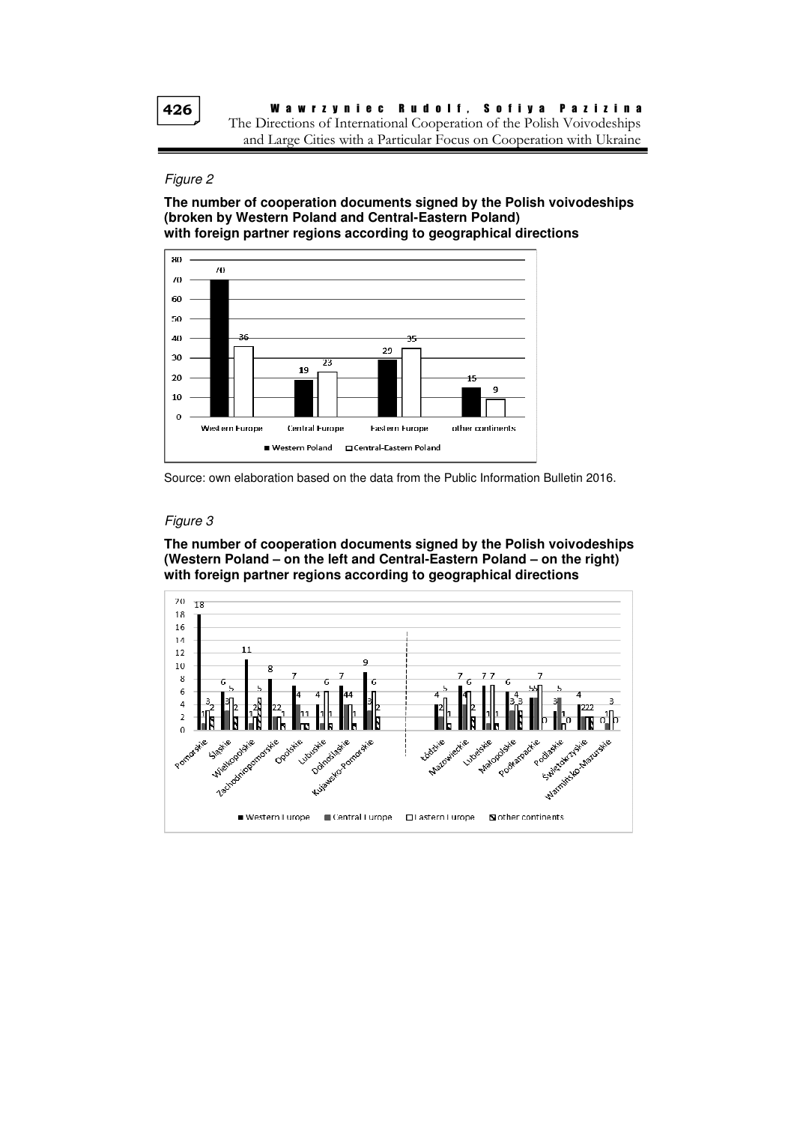426

#### Figure 2

**The number of cooperation documents signed by the Polish voivodeships (broken by Western Poland and Central-Eastern Poland) with foreign partner regions according to geographical directions** 



Source: own elaboration based on the data from the Public Information Bulletin 2016.

#### Figure 3

**The number of cooperation documents signed by the Polish voivodeships (Western Poland – on the left and Central-Eastern Poland – on the right) with foreign partner regions according to geographical directions** 

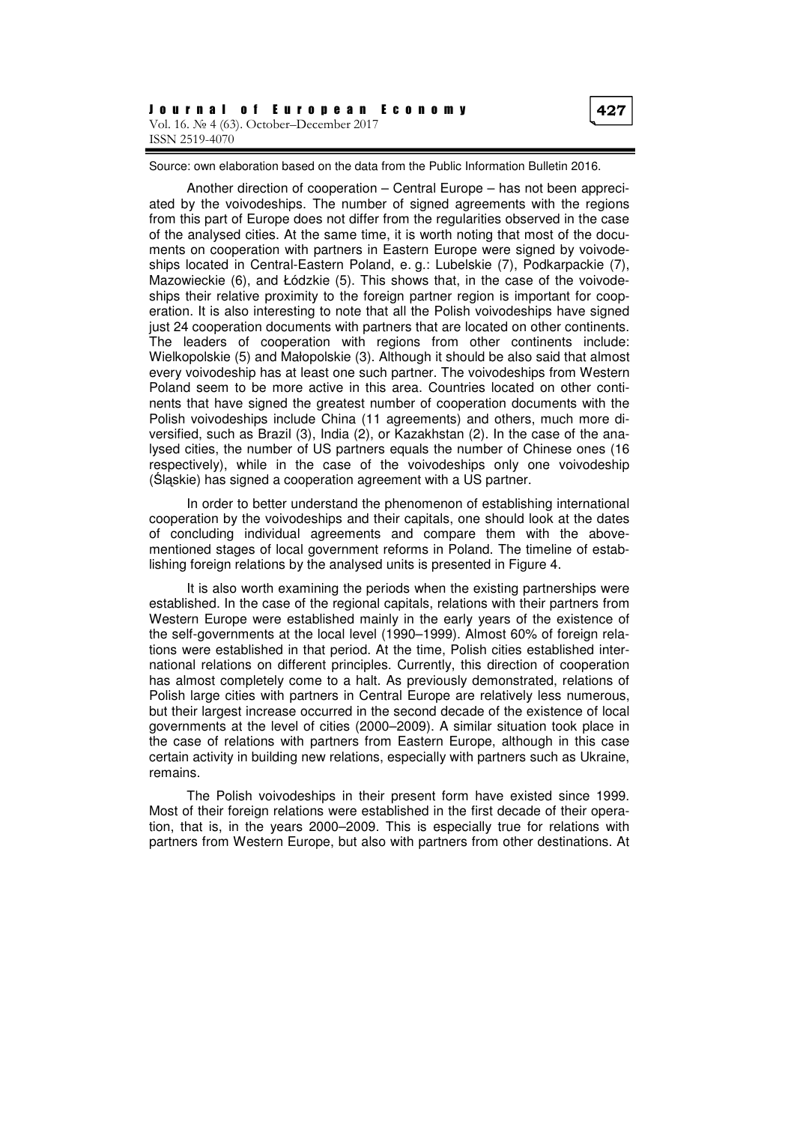Source: own elaboration based on the data from the Public Information Bulletin 2016.

Another direction of cooperation – Central Europe – has not been appreciated by the voivodeships. The number of signed agreements with the regions from this part of Europe does not differ from the regularities observed in the case of the analysed cities. At the same time, it is worth noting that most of the documents on cooperation with partners in Eastern Europe were signed by voivodeships located in Central-Eastern Poland, e. g.: Lubelskie (7), Podkarpackie (7), Mazowieckie (6), and Łódzkie (5). This shows that, in the case of the voivodeships their relative proximity to the foreign partner region is important for cooperation. It is also interesting to note that all the Polish voivodeships have signed just 24 cooperation documents with partners that are located on other continents. The leaders of cooperation with regions from other continents include: Wielkopolskie (5) and Małopolskie (3). Although it should be also said that almost every voivodeship has at least one such partner. The voivodeships from Western Poland seem to be more active in this area. Countries located on other continents that have signed the greatest number of cooperation documents with the Polish voivodeships include China (11 agreements) and others, much more diversified, such as Brazil (3), India (2), or Kazakhstan (2). In the case of the analysed cities, the number of US partners equals the number of Chinese ones (16 respectively), while in the case of the voivodeships only one voivodeship (Śląskie) has signed a cooperation agreement with a US partner.

In order to better understand the phenomenon of establishing international cooperation by the voivodeships and their capitals, one should look at the dates of concluding individual agreements and compare them with the abovementioned stages of local government reforms in Poland. The timeline of establishing foreign relations by the analysed units is presented in Figure 4.

It is also worth examining the periods when the existing partnerships were established. In the case of the regional capitals, relations with their partners from Western Europe were established mainly in the early years of the existence of the self-governments at the local level (1990–1999). Almost 60% of foreign relations were established in that period. At the time, Polish cities established international relations on different principles. Currently, this direction of cooperation has almost completely come to a halt. As previously demonstrated, relations of Polish large cities with partners in Central Europe are relatively less numerous, but their largest increase occurred in the second decade of the existence of local governments at the level of cities (2000–2009). A similar situation took place in the case of relations with partners from Eastern Europe, although in this case certain activity in building new relations, especially with partners such as Ukraine, remains.

The Polish voivodeships in their present form have existed since 1999. Most of their foreign relations were established in the first decade of their operation, that is, in the years 2000–2009. This is especially true for relations with partners from Western Europe, but also with partners from other destinations. At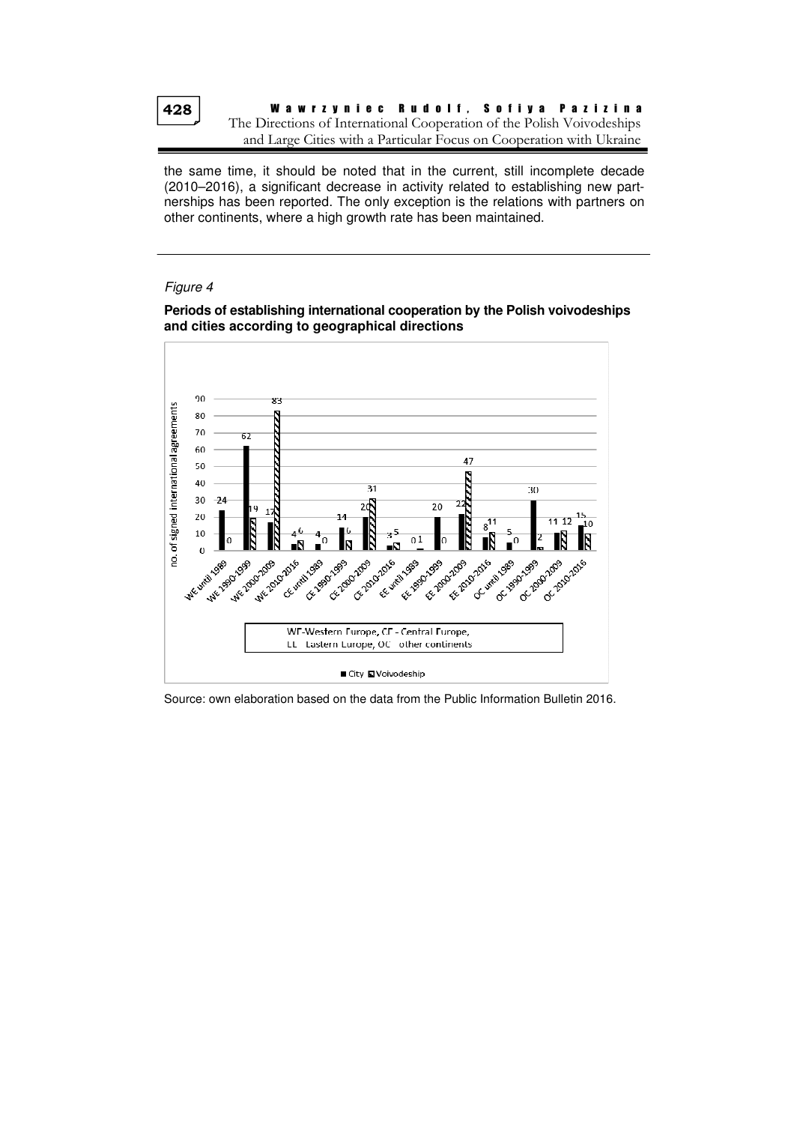428

W a w r z y n i e c R u d o l f , S o f i y a P a z i z i n a The Directions of International Cooperation of the Polish Voivodeships and Large Cities with a Particular Focus on Cooperation with Ukraine

the same time, it should be noted that in the current, still incomplete decade (2010–2016), a significant decrease in activity related to establishing new partnerships has been reported. The only exception is the relations with partners on other continents, where a high growth rate has been maintained.

#### Figure 4





Source: own elaboration based on the data from the Public Information Bulletin 2016.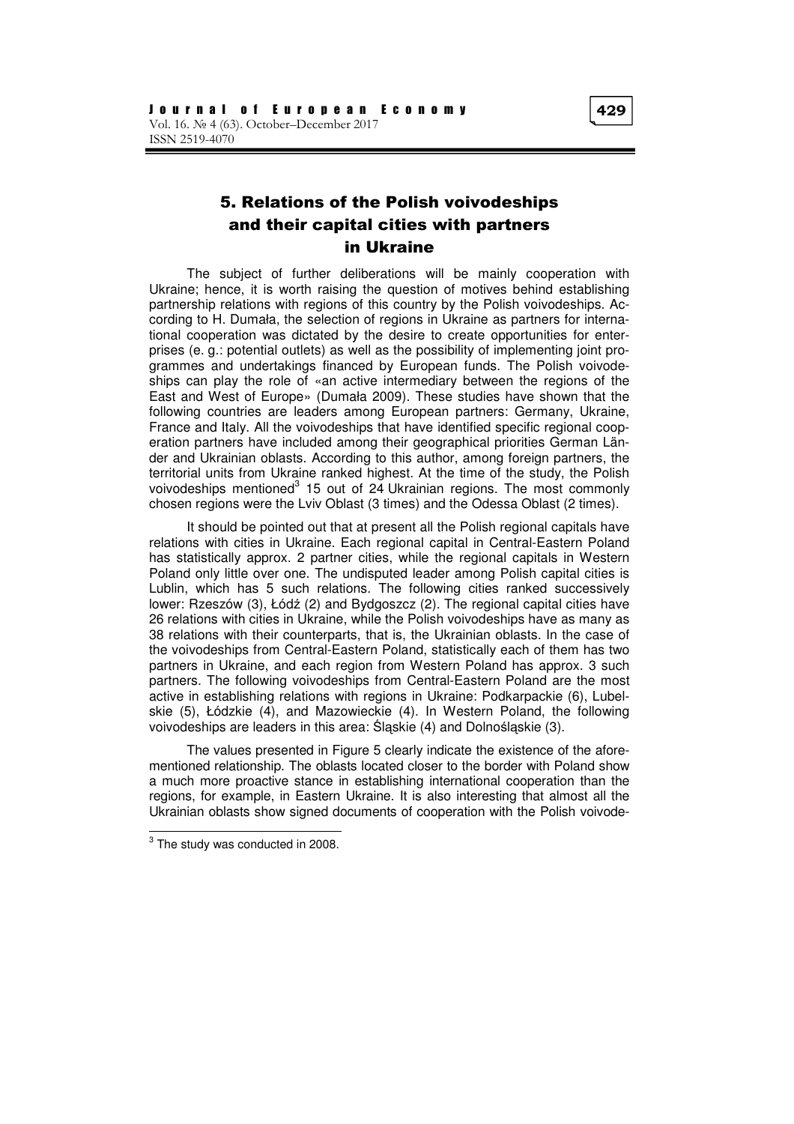# 5. Relations of the Polish voivodeships and their capital cities with partners in Ukraine

The subject of further deliberations will be mainly cooperation with Ukraine; hence, it is worth raising the question of motives behind establishing partnership relations with regions of this country by the Polish voivodeships. According to H. Dumała, the selection of regions in Ukraine as partners for international cooperation was dictated by the desire to create opportunities for enterprises (e. g.: potential outlets) as well as the possibility of implementing joint programmes and undertakings financed by European funds. The Polish voivodeships can play the role of «an active intermediary between the regions of the East and West of Europe» (Dumała 2009). These studies have shown that the following countries are leaders among European partners: Germany, Ukraine, France and Italy. All the voivodeships that have identified specific regional cooperation partners have included among their geographical priorities German Länder and Ukrainian oblasts. According to this author, among foreign partners, the territorial units from Ukraine ranked highest. At the time of the study, the Polish voivodeships mentioned<sup>3</sup> 15 out of 24 Ukrainian regions. The most commonly chosen regions were the Lviv Oblast (3 times) and the Odessa Oblast (2 times).

It should be pointed out that at present all the Polish regional capitals have relations with cities in Ukraine. Each regional capital in Central-Eastern Poland has statistically approx. 2 partner cities, while the regional capitals in Western Poland only little over one. The undisputed leader among Polish capital cities is Lublin, which has 5 such relations. The following cities ranked successively lower: Rzeszów (3), Łódź (2) and Bydgoszcz (2). The regional capital cities have 26 relations with cities in Ukraine, while the Polish voivodeships have as many as 38 relations with their counterparts, that is, the Ukrainian oblasts. In the case of the voivodeships from Central-Eastern Poland, statistically each of them has two partners in Ukraine, and each region from Western Poland has approx. 3 such partners. The following voivodeships from Central-Eastern Poland are the most active in establishing relations with regions in Ukraine: Podkarpackie (6), Lubelskie (5), Łódzkie (4), and Mazowieckie (4). In Western Poland, the following voivodeships are leaders in this area: Śląskie (4) and Dolnośląskie (3).

The values presented in Figure 5 clearly indicate the existence of the aforementioned relationship. The oblasts located closer to the border with Poland show a much more proactive stance in establishing international cooperation than the regions, for example, in Eastern Ukraine. It is also interesting that almost all the Ukrainian oblasts show signed documents of cooperation with the Polish voivode-

 $3$  The study was conducted in 2008.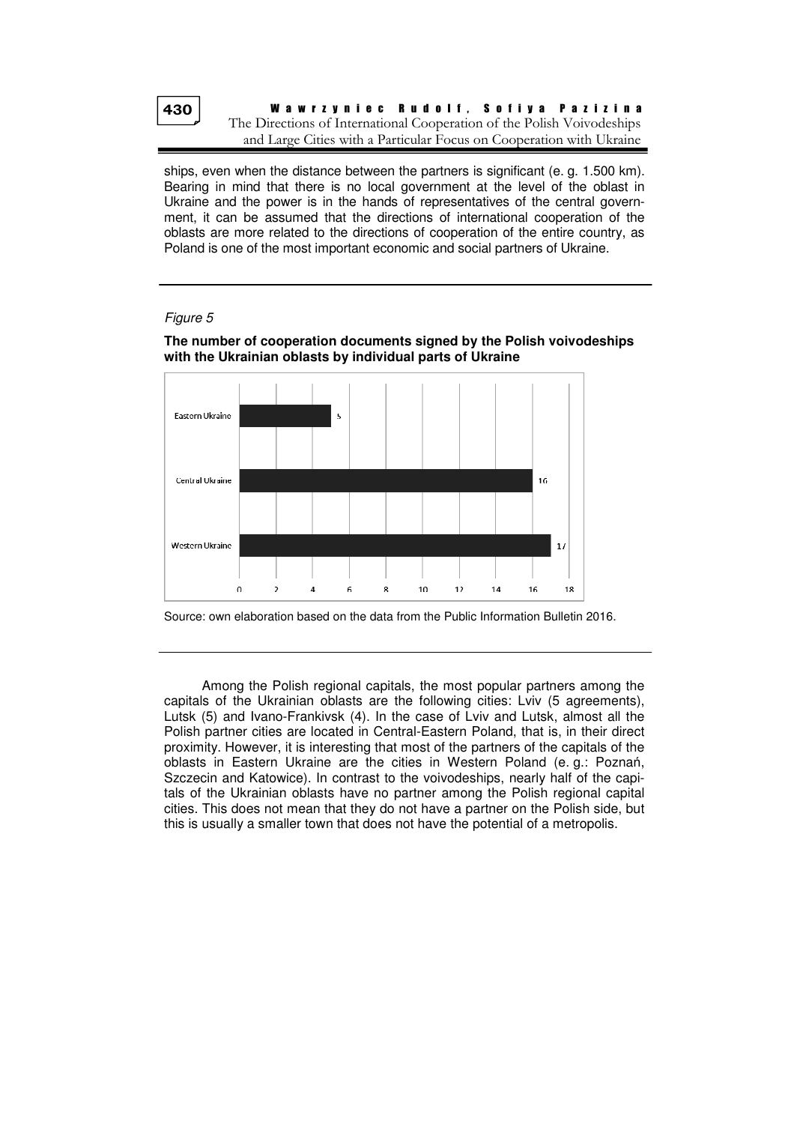

ships, even when the distance between the partners is significant (e. g. 1.500 km). Bearing in mind that there is no local government at the level of the oblast in Ukraine and the power is in the hands of representatives of the central government, it can be assumed that the directions of international cooperation of the oblasts are more related to the directions of cooperation of the entire country, as Poland is one of the most important economic and social partners of Ukraine.

### Figure 5

#### **The number of cooperation documents signed by the Polish voivodeships with the Ukrainian oblasts by individual parts of Ukraine**



Source: own elaboration based on the data from the Public Information Bulletin 2016.

Among the Polish regional capitals, the most popular partners among the capitals of the Ukrainian oblasts are the following cities: Lviv (5 agreements), Lutsk (5) and Ivano-Frankivsk (4). In the case of Lviv and Lutsk, almost all the Polish partner cities are located in Central-Eastern Poland, that is, in their direct proximity. However, it is interesting that most of the partners of the capitals of the oblasts in Eastern Ukraine are the cities in Western Poland (e. g.: Poznań, Szczecin and Katowice). In contrast to the voivodeships, nearly half of the capitals of the Ukrainian oblasts have no partner among the Polish regional capital cities. This does not mean that they do not have a partner on the Polish side, but this is usually a smaller town that does not have the potential of a metropolis.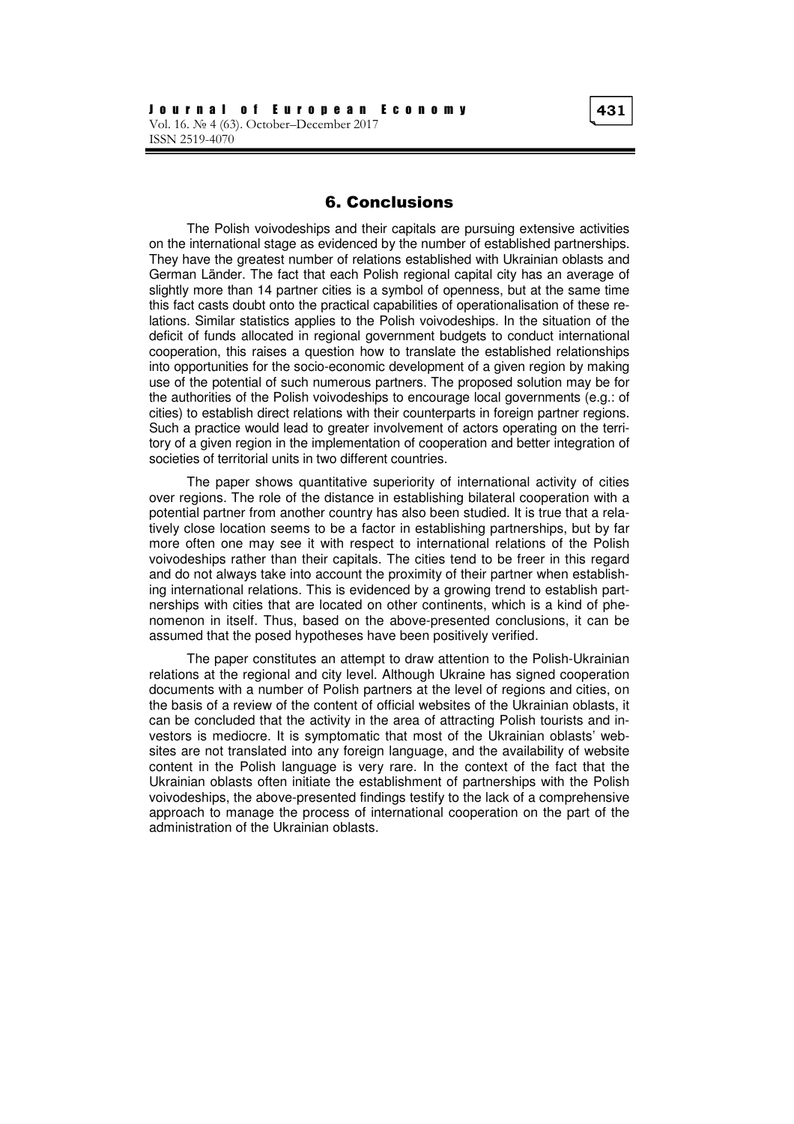## 6. Conclusions

The Polish voivodeships and their capitals are pursuing extensive activities on the international stage as evidenced by the number of established partnerships. They have the greatest number of relations established with Ukrainian oblasts and German Länder. The fact that each Polish regional capital city has an average of slightly more than 14 partner cities is a symbol of openness, but at the same time this fact casts doubt onto the practical capabilities of operationalisation of these relations. Similar statistics applies to the Polish voivodeships. In the situation of the deficit of funds allocated in regional government budgets to conduct international cooperation, this raises a question how to translate the established relationships into opportunities for the socio-economic development of a given region by making use of the potential of such numerous partners. The proposed solution may be for the authorities of the Polish voivodeships to encourage local governments (e.g.: of cities) to establish direct relations with their counterparts in foreign partner regions. Such a practice would lead to greater involvement of actors operating on the territory of a given region in the implementation of cooperation and better integration of societies of territorial units in two different countries.

The paper shows quantitative superiority of international activity of cities over regions. The role of the distance in establishing bilateral cooperation with a potential partner from another country has also been studied. It is true that a relatively close location seems to be a factor in establishing partnerships, but by far more often one may see it with respect to international relations of the Polish voivodeships rather than their capitals. The cities tend to be freer in this regard and do not always take into account the proximity of their partner when establishing international relations. This is evidenced by a growing trend to establish partnerships with cities that are located on other continents, which is a kind of phenomenon in itself. Thus, based on the above-presented conclusions, it can be assumed that the posed hypotheses have been positively verified.

The paper constitutes an attempt to draw attention to the Polish-Ukrainian relations at the regional and city level. Although Ukraine has signed cooperation documents with a number of Polish partners at the level of regions and cities, on the basis of a review of the content of official websites of the Ukrainian oblasts, it can be concluded that the activity in the area of attracting Polish tourists and investors is mediocre. It is symptomatic that most of the Ukrainian oblasts' websites are not translated into any foreign language, and the availability of website content in the Polish language is very rare. In the context of the fact that the Ukrainian oblasts often initiate the establishment of partnerships with the Polish voivodeships, the above-presented findings testify to the lack of a comprehensive approach to manage the process of international cooperation on the part of the administration of the Ukrainian oblasts.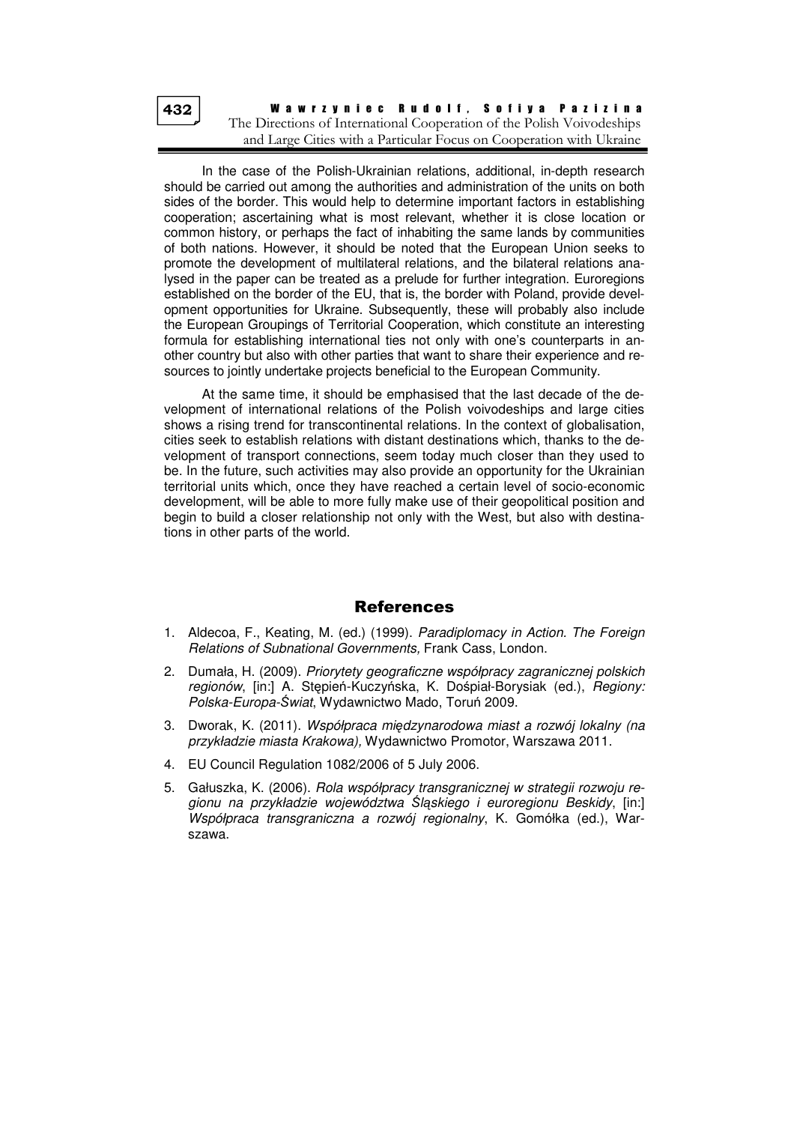In the case of the Polish-Ukrainian relations, additional, in-depth research should be carried out among the authorities and administration of the units on both sides of the border. This would help to determine important factors in establishing cooperation; ascertaining what is most relevant, whether it is close location or common history, or perhaps the fact of inhabiting the same lands by communities of both nations. However, it should be noted that the European Union seeks to promote the development of multilateral relations, and the bilateral relations analysed in the paper can be treated as a prelude for further integration. Euroregions established on the border of the EU, that is, the border with Poland, provide development opportunities for Ukraine. Subsequently, these will probably also include the European Groupings of Territorial Cooperation, which constitute an interesting formula for establishing international ties not only with one's counterparts in another country but also with other parties that want to share their experience and resources to jointly undertake projects beneficial to the European Community.

At the same time, it should be emphasised that the last decade of the development of international relations of the Polish voivodeships and large cities shows a rising trend for transcontinental relations. In the context of globalisation, cities seek to establish relations with distant destinations which, thanks to the development of transport connections, seem today much closer than they used to be. In the future, such activities may also provide an opportunity for the Ukrainian territorial units which, once they have reached a certain level of socio-economic development, will be able to more fully make use of their geopolitical position and begin to build a closer relationship not only with the West, but also with destinations in other parts of the world.

# References

- 1. Aldecoa, F., Keating, M. (ed.) (1999). Paradiplomacy in Action. The Foreign Relations of Subnational Governments, Frank Cass, London.
- 2. Dumała, H. (2009). Priorytety geograficzne współpracy zagranicznej polskich regionów, [in:] A. Stępień-Kuczyńska, K. Dośpiał-Borysiak (ed.), Regiony: Polska-Europa-Świat, Wydawnictwo Mado, Toruń 2009.
- 3. Dworak, K. (2011). Współpraca międzynarodowa miast a rozwój lokalny (na przykładzie miasta Krakowa), Wydawnictwo Promotor, Warszawa 2011.
- 4. EU Council Regulation 1082/2006 of 5 July 2006.
- 5. Gałuszka, K. (2006). Rola współpracy transgranicznej w strategii rozwoju regionu na przykładzie województwa Śląskiego i euroregionu Beskidy, [in:] Współpraca transgraniczna a rozwój regionalny, K. Gomółka (ed.), Warszawa.